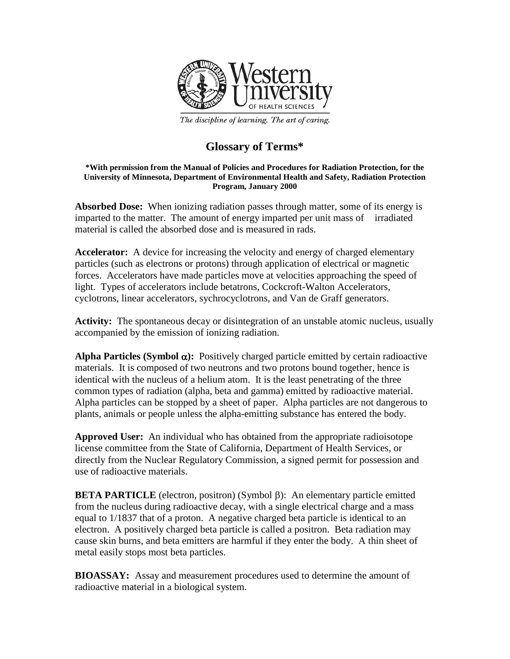

The discipline of learning. The art of caring.

## **Glossary of Terms\***

## **\*With permission from the Manual of Policies and Procedures for Radiation Protection, for the University of Minnesota, Department of Environmental Health and Safety, Radiation Protection Program, January 2000**

**Absorbed Dose:** When ionizing radiation passes through matter, some of its energy is imparted to the matter. The amount of energy imparted per unit mass of irradiated material is called the absorbed dose and is measured in rads.

**Accelerator:** A device for increasing the velocity and energy of charged elementary particles (such as electrons or protons) through application of electrical or magnetic forces. Accelerators have made particles move at velocities approaching the speed of light. Types of accelerators include betatrons, Cockcroft-Walton Accelerators, cyclotrons, linear accelerators, sychrocyclotrons, and Van de Graff generators.

**Activity:** The spontaneous decay or disintegration of an unstable atomic nucleus, usually accompanied by the emission of ionizing radiation.

**Alpha Particles (Symbol** α**):** Positively charged particle emitted by certain radioactive materials. It is composed of two neutrons and two protons bound together, hence is identical with the nucleus of a helium atom. It is the least penetrating of the three common types of radiation (alpha, beta and gamma) emitted by radioactive material. Alpha particles can be stopped by a sheet of paper. Alpha particles are not dangerous to plants, animals or people unless the alpha-emitting substance has entered the body.

**Approved User:** An individual who has obtained from the appropriate radioisotope license committee from the State of California, Department of Health Services, or directly from the Nuclear Regulatory Commission, a signed permit for possession and use of radioactive materials.

**BETA PARTICLE** (electron, positron) (Symbol β): An elementary particle emitted from the nucleus during radioactive decay, with a single electrical charge and a mass equal to 1/1837 that of a proton. A negative charged beta particle is identical to an electron. A positively charged beta particle is called a positron. Beta radiation may cause skin burns, and beta emitters are harmful if they enter the body. A thin sheet of metal easily stops most beta particles.

**BIOASSAY:** Assay and measurement procedures used to determine the amount of radioactive material in a biological system.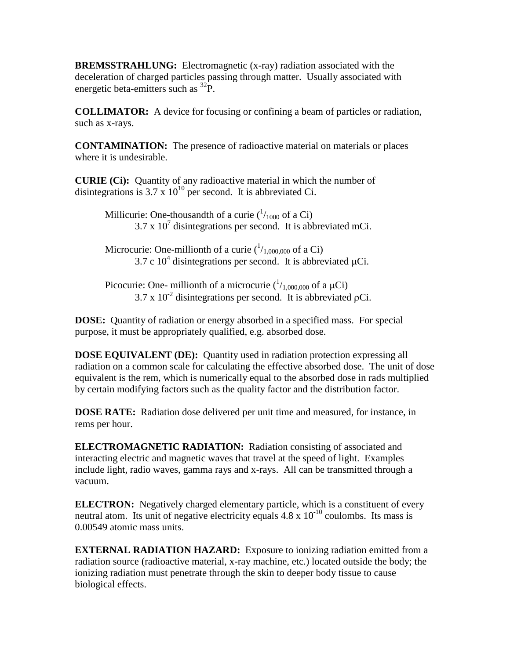**BREMSSTRAHLUNG:** Electromagnetic (x-ray) radiation associated with the deceleration of charged particles passing through matter. Usually associated with energetic beta-emitters such as <sup>32</sup>P.

**COLLIMATOR:** A device for focusing or confining a beam of particles or radiation, such as x-rays.

**CONTAMINATION:** The presence of radioactive material on materials or places where it is undesirable.

**CURIE (Ci):** Quantity of any radioactive material in which the number of disintegrations is 3.7 x  $10^{10}$  per second. It is abbreviated Ci.

> Millicurie: One-thousandth of a curie  $(^{1}_{1000}$  of a Ci)  $3.7 \times 10^{7}$  disintegrations per second. It is abbreviated mCi.

> Microcurie: One-millionth of a curie  $(^{1}/_{1,000,000}$  of a Ci) 3.7 c  $10^4$  disintegrations per second. It is abbreviated  $\mu$ Ci.

> Picocurie: One- millionth of a microcurie  $({}^{1}/_{1,000,000}$  of a  $\mu$ Ci)  $3.7 \times 10^{-2}$  disintegrations per second. It is abbreviated pCi.

**DOSE:** Quantity of radiation or energy absorbed in a specified mass. For special purpose, it must be appropriately qualified, e.g. absorbed dose.

**DOSE EQUIVALENT (DE):** Quantity used in radiation protection expressing all radiation on a common scale for calculating the effective absorbed dose. The unit of dose equivalent is the rem, which is numerically equal to the absorbed dose in rads multiplied by certain modifying factors such as the quality factor and the distribution factor.

**DOSE RATE:** Radiation dose delivered per unit time and measured, for instance, in rems per hour.

**ELECTROMAGNETIC RADIATION:** Radiation consisting of associated and interacting electric and magnetic waves that travel at the speed of light. Examples include light, radio waves, gamma rays and x-rays. All can be transmitted through a vacuum.

**ELECTRON:** Negatively charged elementary particle, which is a constituent of every neutral atom. Its unit of negative electricity equals 4.8 x 10<sup>-10</sup> coulombs. Its mass is 0.00549 atomic mass units.

**EXTERNAL RADIATION HAZARD:** Exposure to ionizing radiation emitted from a radiation source (radioactive material, x-ray machine, etc.) located outside the body; the ionizing radiation must penetrate through the skin to deeper body tissue to cause biological effects.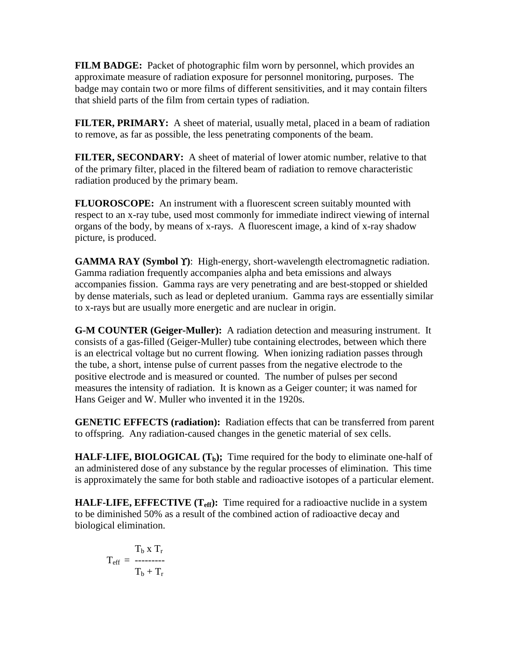**FILM BADGE:** Packet of photographic film worn by personnel, which provides an approximate measure of radiation exposure for personnel monitoring, purposes. The badge may contain two or more films of different sensitivities, and it may contain filters that shield parts of the film from certain types of radiation.

**FILTER, PRIMARY:** A sheet of material, usually metal, placed in a beam of radiation to remove, as far as possible, the less penetrating components of the beam.

**FILTER, SECONDARY:** A sheet of material of lower atomic number, relative to that of the primary filter, placed in the filtered beam of radiation to remove characteristic radiation produced by the primary beam.

**FLUOROSCOPE:** An instrument with a fluorescent screen suitably mounted with respect to an x-ray tube, used most commonly for immediate indirect viewing of internal organs of the body, by means of x-rays. A fluorescent image, a kind of x-ray shadow picture, is produced.

**GAMMA RAY (Symbol** ϒ**)**: High-energy, short-wavelength electromagnetic radiation. Gamma radiation frequently accompanies alpha and beta emissions and always accompanies fission. Gamma rays are very penetrating and are best-stopped or shielded by dense materials, such as lead or depleted uranium. Gamma rays are essentially similar to x-rays but are usually more energetic and are nuclear in origin.

**G-M COUNTER (Geiger-Muller):** A radiation detection and measuring instrument. It consists of a gas-filled (Geiger-Muller) tube containing electrodes, between which there is an electrical voltage but no current flowing. When ionizing radiation passes through the tube, a short, intense pulse of current passes from the negative electrode to the positive electrode and is measured or counted. The number of pulses per second measures the intensity of radiation. It is known as a Geiger counter; it was named for Hans Geiger and W. Muller who invented it in the 1920s.

**GENETIC EFFECTS (radiation):** Radiation effects that can be transferred from parent to offspring. Any radiation-caused changes in the genetic material of sex cells.

**HALF-LIFE, BIOLOGICAL** (T<sub>b</sub>); Time required for the body to eliminate one-half of an administered dose of any substance by the regular processes of elimination. This time is approximately the same for both stable and radioactive isotopes of a particular element.

**HALF-LIFE, EFFECTIVE (T<sub>eff</sub>):** Time required for a radioactive nuclide in a system to be diminished 50% as a result of the combined action of radioactive decay and biological elimination.

$$
T_{eff} = \frac{T_b \times T_r}{T_b + T_r}
$$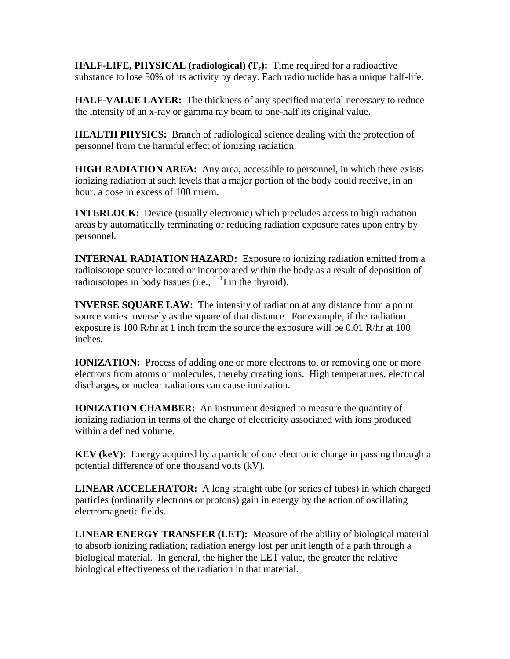**HALF-LIFE, PHYSICAL (radiological) (Tr):** Time required for a radioactive substance to lose 50% of its activity by decay. Each radionuclide has a unique half-life.

**HALF-VALUE LAYER:** The thickness of any specified material necessary to reduce the intensity of an x-ray or gamma ray beam to one-half its original value.

**HEALTH PHYSICS:** Branch of radiological science dealing with the protection of personnel from the harmful effect of ionizing radiation.

**HIGH RADIATION AREA:** Any area, accessible to personnel, in which there exists ionizing radiation at such levels that a major portion of the body could receive, in an hour, a dose in excess of 100 mrem.

**INTERLOCK:** Device (usually electronic) which precludes access to high radiation areas by automatically terminating or reducing radiation exposure rates upon entry by personnel.

**INTERNAL RADIATION HAZARD:** Exposure to ionizing radiation emitted from a radioisotope source located or incorporated within the body as a result of deposition of radioisotopes in body tissues (i.e.,  $1^{31}$ I in the thyroid).

**INVERSE SOUARE LAW:** The intensity of radiation at any distance from a point source varies inversely as the square of that distance. For example, if the radiation exposure is 100 R/hr at 1 inch from the source the exposure will be 0.01 R/hr at 100 inches.

**IONIZATION:** Process of adding one or more electrons to, or removing one or more electrons from atoms or molecules, thereby creating ions. High temperatures, electrical discharges, or nuclear radiations can cause ionization.

**IONIZATION CHAMBER:** An instrument designed to measure the quantity of ionizing radiation in terms of the charge of electricity associated with ions produced within a defined volume.

**KEV (keV):** Energy acquired by a particle of one electronic charge in passing through a potential difference of one thousand volts (kV).

**LINEAR ACCELERATOR:** A long straight tube (or series of tubes) in which charged particles (ordinarily electrons or protons) gain in energy by the action of oscillating electromagnetic fields.

**LINEAR ENERGY TRANSFER (LET):** Measure of the ability of biological material to absorb ionizing radiation; radiation energy lost per unit length of a path through a biological material. In general, the higher the LET value, the greater the relative biological effectiveness of the radiation in that material.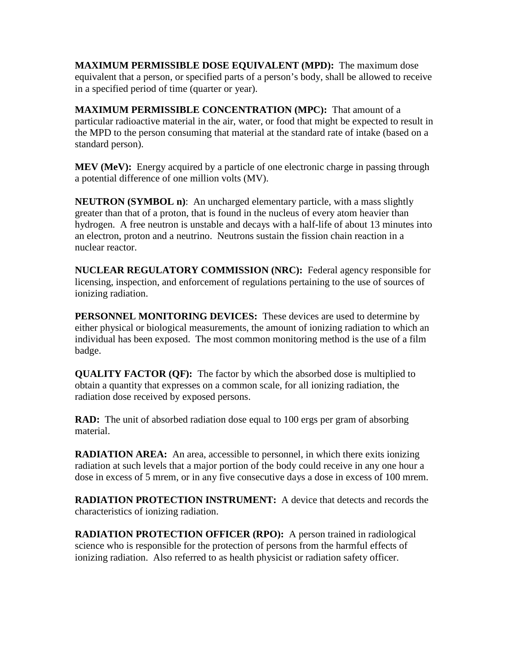**MAXIMUM PERMISSIBLE DOSE EQUIVALENT (MPD):** The maximum dose equivalent that a person, or specified parts of a person's body, shall be allowed to receive in a specified period of time (quarter or year).

**MAXIMUM PERMISSIBLE CONCENTRATION (MPC):** That amount of a particular radioactive material in the air, water, or food that might be expected to result in the MPD to the person consuming that material at the standard rate of intake (based on a standard person).

**MEV (MeV):** Energy acquired by a particle of one electronic charge in passing through a potential difference of one million volts (MV).

**NEUTRON (SYMBOL n)**: An uncharged elementary particle, with a mass slightly greater than that of a proton, that is found in the nucleus of every atom heavier than hydrogen. A free neutron is unstable and decays with a half-life of about 13 minutes into an electron, proton and a neutrino. Neutrons sustain the fission chain reaction in a nuclear reactor.

**NUCLEAR REGULATORY COMMISSION (NRC):** Federal agency responsible for licensing, inspection, and enforcement of regulations pertaining to the use of sources of ionizing radiation.

**PERSONNEL MONITORING DEVICES:** These devices are used to determine by either physical or biological measurements, the amount of ionizing radiation to which an individual has been exposed. The most common monitoring method is the use of a film badge.

**QUALITY FACTOR (QF):** The factor by which the absorbed dose is multiplied to obtain a quantity that expresses on a common scale, for all ionizing radiation, the radiation dose received by exposed persons.

**RAD:** The unit of absorbed radiation dose equal to 100 ergs per gram of absorbing material.

**RADIATION AREA:** An area, accessible to personnel, in which there exits ionizing radiation at such levels that a major portion of the body could receive in any one hour a dose in excess of 5 mrem, or in any five consecutive days a dose in excess of 100 mrem.

**RADIATION PROTECTION INSTRUMENT:** A device that detects and records the characteristics of ionizing radiation.

**RADIATION PROTECTION OFFICER (RPO):** A person trained in radiological science who is responsible for the protection of persons from the harmful effects of ionizing radiation. Also referred to as health physicist or radiation safety officer.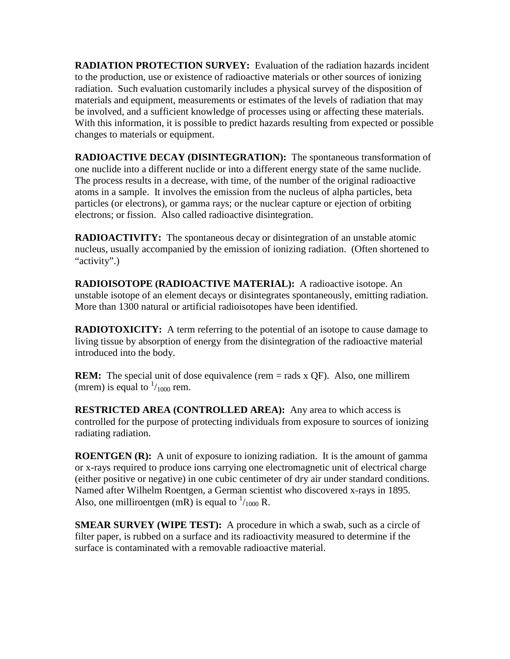**RADIATION PROTECTION SURVEY:** Evaluation of the radiation hazards incident to the production, use or existence of radioactive materials or other sources of ionizing radiation. Such evaluation customarily includes a physical survey of the disposition of materials and equipment, measurements or estimates of the levels of radiation that may be involved, and a sufficient knowledge of processes using or affecting these materials. With this information, it is possible to predict hazards resulting from expected or possible changes to materials or equipment.

**RADIOACTIVE DECAY (DISINTEGRATION):** The spontaneous transformation of one nuclide into a different nuclide or into a different energy state of the same nuclide. The process results in a decrease, with time, of the number of the original radioactive atoms in a sample. It involves the emission from the nucleus of alpha particles, beta particles (or electrons), or gamma rays; or the nuclear capture or ejection of orbiting electrons; or fission. Also called radioactive disintegration.

**RADIOACTIVITY:** The spontaneous decay or disintegration of an unstable atomic nucleus, usually accompanied by the emission of ionizing radiation. (Often shortened to "activity".)

**RADIOISOTOPE (RADIOACTIVE MATERIAL):** A radioactive isotope. An unstable isotope of an element decays or disintegrates spontaneously, emitting radiation. More than 1300 natural or artificial radioisotopes have been identified.

**RADIOTOXICITY:** A term referring to the potential of an isotope to cause damage to living tissue by absorption of energy from the disintegration of the radioactive material introduced into the body.

**REM:** The special unit of dose equivalence (rem = rads x QF). Also, one millirem (mrem) is equal to  $\frac{1}{1000}$  rem.

**RESTRICTED AREA (CONTROLLED AREA):** Any area to which access is controlled for the purpose of protecting individuals from exposure to sources of ionizing radiating radiation.

**ROENTGEN (R):** A unit of exposure to ionizing radiation. It is the amount of gamma or x-rays required to produce ions carrying one electromagnetic unit of electrical charge (either positive or negative) in one cubic centimeter of dry air under standard conditions. Named after Wilhelm Roentgen, a German scientist who discovered x-rays in 1895. Also, one milliroentgen (mR) is equal to  $\frac{1}{1000}$  R.

**SMEAR SURVEY (WIPE TEST):** A procedure in which a swab, such as a circle of filter paper, is rubbed on a surface and its radioactivity measured to determine if the surface is contaminated with a removable radioactive material.